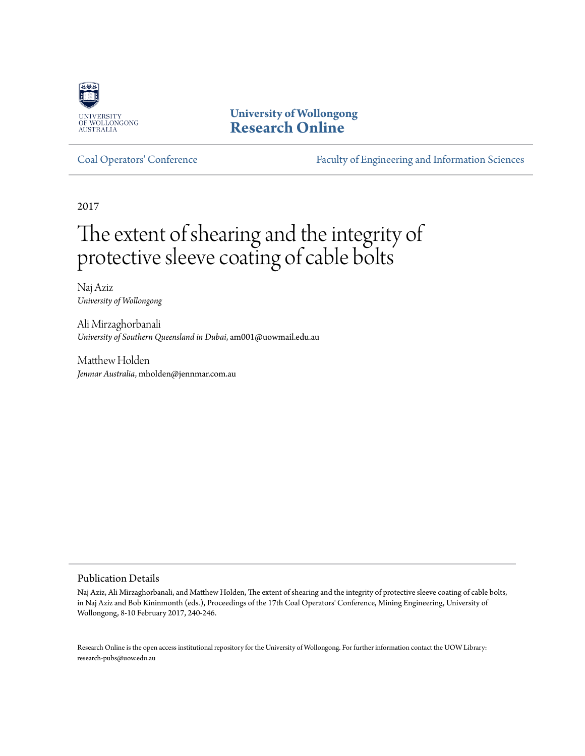

**University of Wollongong [Research Online](http://ro.uow.edu.au)**

[Coal Operators' Conference](http://ro.uow.edu.au/coal) [Faculty of Engineering and Information Sciences](http://ro.uow.edu.au/eis)

2017

# The extent of shearing and the integrity of protective sleeve coating of cable bolts

Naj Aziz *University of Wollongong*

Ali Mirzaghorbanali *University of Southern Queensland in Dubai*, am001@uowmail.edu.au

Matthew Holden *Jenmar Australia*, mholden@jennmar.com.au

Publication Details

Naj Aziz, Ali Mirzaghorbanali, and Matthew Holden, The extent of shearing and the integrity of protective sleeve coating of cable bolts, in Naj Aziz and Bob Kininmonth (eds.), Proceedings of the 17th Coal Operators' Conference, Mining Engineering, University of Wollongong, 8-10 February 2017, 240-246.

Research Online is the open access institutional repository for the University of Wollongong. For further information contact the UOW Library: research-pubs@uow.edu.au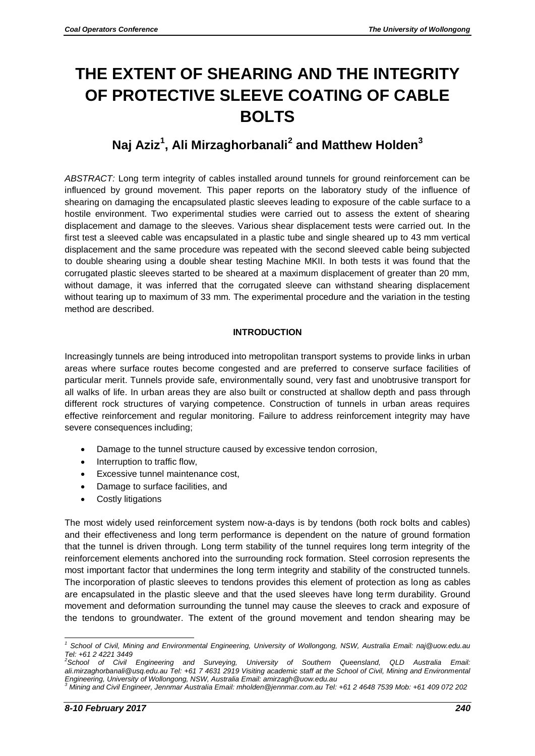## **THE EXTENT OF SHEARING AND THE INTEGRITY OF PROTECTIVE SLEEVE COATING OF CABLE BOLTS**

### **Naj Aziz<sup>1</sup> , Ali Mirzaghorbanali<sup>2</sup> and Matthew Holden<sup>3</sup>**

*ABSTRACT:* Long term integrity of cables installed around tunnels for ground reinforcement can be influenced by ground movement. This paper reports on the laboratory study of the influence of shearing on damaging the encapsulated plastic sleeves leading to exposure of the cable surface to a hostile environment. Two experimental studies were carried out to assess the extent of shearing displacement and damage to the sleeves. Various shear displacement tests were carried out. In the first test a sleeved cable was encapsulated in a plastic tube and single sheared up to 43 mm vertical displacement and the same procedure was repeated with the second sleeved cable being subjected to double shearing using a double shear testing Machine MKII. In both tests it was found that the corrugated plastic sleeves started to be sheared at a maximum displacement of greater than 20 mm, without damage, it was inferred that the corrugated sleeve can withstand shearing displacement without tearing up to maximum of 33 mm. The experimental procedure and the variation in the testing method are described.

#### **INTRODUCTION**

Increasingly tunnels are being introduced into metropolitan transport systems to provide links in urban areas where surface routes become congested and are preferred to conserve surface facilities of particular merit. Tunnels provide safe, environmentally sound, very fast and unobtrusive transport for all walks of life. In urban areas they are also built or constructed at shallow depth and pass through different rock structures of varying competence. Construction of tunnels in urban areas requires effective reinforcement and regular monitoring. Failure to address reinforcement integrity may have severe consequences including;

- Damage to the tunnel structure caused by excessive tendon corrosion,
- Interruption to traffic flow,
- Excessive tunnel maintenance cost,
- Damage to surface facilities, and
- Costly litigations

The most widely used reinforcement system now-a-days is by tendons (both rock bolts and cables) and their effectiveness and long term performance is dependent on the nature of ground formation that the tunnel is driven through. Long term stability of the tunnel requires long term integrity of the reinforcement elements anchored into the surrounding rock formation. Steel corrosion represents the most important factor that undermines the long term integrity and stability of the constructed tunnels. The incorporation of plastic sleeves to tendons provides this element of protection as long as cables are encapsulated in the plastic sleeve and that the used sleeves have long term durability. Ground movement and deformation surrounding the tunnel may cause the sleeves to crack and exposure of the tendons to groundwater. The extent of the ground movement and tendon shearing may be

<sup>1</sup> *<sup>1</sup> School of Civil, Mining and Environmental Engineering, University of Wollongong, NSW, Australia Email: [naj@uow.edu.au](mailto:naj@uow.edu.au) Tel: +61 2 4221 3449*

*<sup>2</sup>School of Civil Engineering and Surveying, University of Southern Queensland, QLD Australia Email: [ali.mirzaghorbanali@usq.edu.au](mailto:ali.mirzaghorbanali@usq.edu.au) Tel: +61 7 4631 2919 Visiting academic staff at the School of Civil, Mining and Environmental Engineering, University of Wollongong, NSW, Australia Email: [amirzagh@uow.edu.au](mailto:amirzagh@uow.edu.au)*

*<sup>3</sup> Mining and Civil Engineer, Jennmar Australia Email[: mholden@jennmar.com.au](mailto:mholden@jennmar.com.au) Tel: +61 2 4648 7539 Mob: +61 409 072 202*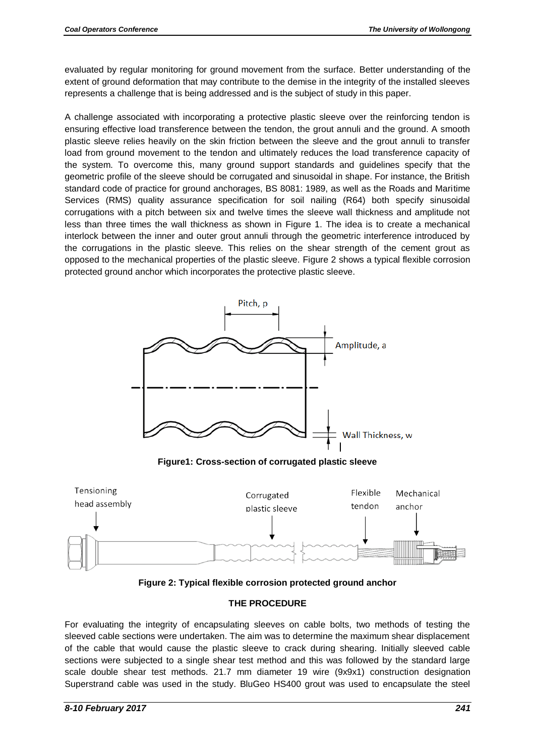evaluated by regular monitoring for ground movement from the surface. Better understanding of the extent of ground deformation that may contribute to the demise in the integrity of the installed sleeves represents a challenge that is being addressed and is the subject of study in this paper.

A challenge associated with incorporating a protective plastic sleeve over the reinforcing tendon is ensuring effective load transference between the tendon, the grout annuli and the ground. A smooth plastic sleeve relies heavily on the skin friction between the sleeve and the grout annuli to transfer load from ground movement to the tendon and ultimately reduces the load transference capacity of the system. To overcome this, many ground support standards and guidelines specify that the geometric profile of the sleeve should be corrugated and sinusoidal in shape. For instance, the British standard code of practice for ground anchorages, BS 8081: 1989, as well as the Roads and Maritime Services (RMS) quality assurance specification for soil nailing (R64) both specify sinusoidal corrugations with a pitch between six and twelve times the sleeve wall thickness and amplitude not less than three times the wall thickness as shown in Figure 1. The idea is to create a mechanical interlock between the inner and outer grout annuli through the geometric interference introduced by the corrugations in the plastic sleeve. This relies on the shear strength of the cement grout as opposed to the mechanical properties of the plastic sleeve. Figure 2 shows a typical flexible corrosion protected ground anchor which incorporates the protective plastic sleeve.



**Figure1: Cross-section of corrugated plastic sleeve**



**Figure 2: Typical flexible corrosion protected ground anchor**

#### **THE PROCEDURE**

For evaluating the integrity of encapsulating sleeves on cable bolts, two methods of testing the sleeved cable sections were undertaken. The aim was to determine the maximum shear displacement of the cable that would cause the plastic sleeve to crack during shearing. Initially sleeved cable sections were subjected to a single shear test method and this was followed by the standard large scale double shear test methods. 21.7 mm diameter 19 wire (9x9x1) construction designation Superstrand cable was used in the study. BluGeo HS400 grout was used to encapsulate the steel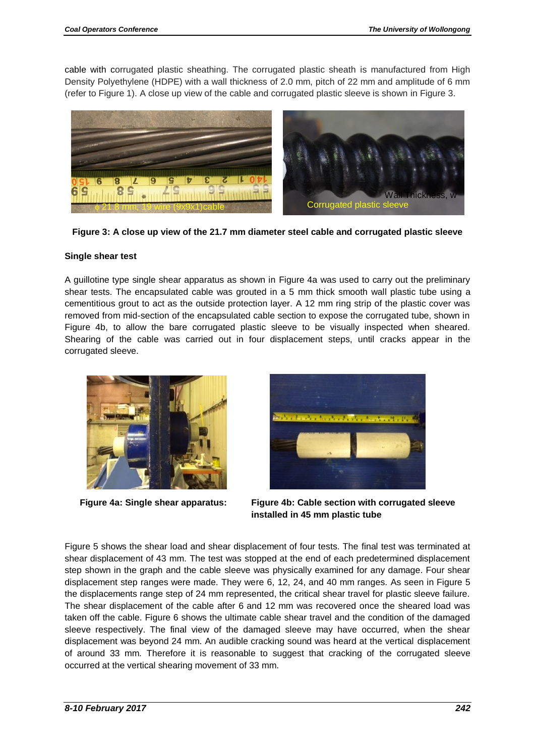cable with corrugated plastic sheathing. The corrugated plastic sheath is manufactured from High Density Polyethylene (HDPE) with a wall thickness of 2.0 mm, pitch of 22 mm and amplitude of 6 mm (refer to Figure 1). A close up view of the cable and corrugated plastic sleeve is shown in Figure 3.



**Figure 3: A close up view of the 21.7 mm diameter steel cable and corrugated plastic sleeve**

#### **Single shear test**

A guillotine type single shear apparatus as shown in Figure 4a was used to carry out the preliminary shear tests. The encapsulated cable was grouted in a 5 mm thick smooth wall plastic tube using a cementitious grout to act as the outside protection layer. A 12 mm ring strip of the plastic cover was removed from mid-section of the encapsulated cable section to expose the corrugated tube, shown in Figure 4b, to allow the bare corrugated plastic sleeve to be visually inspected when sheared. Shearing of the cable was carried out in four displacement steps, until cracks appear in the corrugated sleeve.





 **Figure 4a: Single shear apparatus: Figure 4b: C able section with corrugated sleeve installed in 45 mm plastic tube**

Figure 5 shows the shear load and shear displacement of four tests. The final test was terminated at shear displacement of 43 mm. The test was stopped at the end of each predetermined displacement step shown in the graph and the cable sleeve was physically examined for any damage. Four shear displacement step ranges were made. They were 6, 12, 24, and 40 mm ranges. As seen in Figure 5 the displacements range step of 24 mm represented, the critical shear travel for plastic sleeve failure. The shear displacement of the cable after 6 and 12 mm was recovered once the sheared load was taken off the cable. Figure 6 shows the ultimate cable shear travel and the condition of the damaged sleeve respectively. The final view of the damaged sleeve may have occurred, when the shear displacement was beyond 24 mm. An audible cracking sound was heard at the vertical displacement of around 33 mm. Therefore it is reasonable to suggest that cracking of the corrugated sleeve occurred at the vertical shearing movement of 33 mm.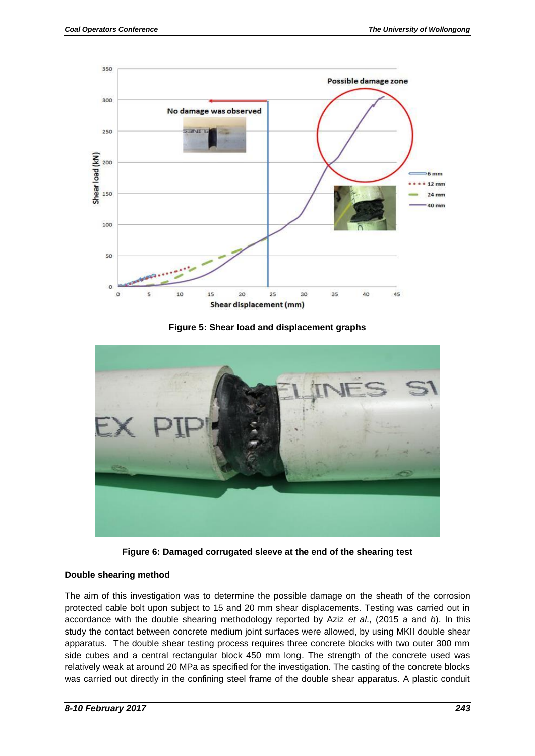

**Figure 5: Shear load and displacement graphs**



**Figure 6: Damaged corrugated sleeve at the end of the shearing test**

#### **Double shearing method**

The aim of this investigation was to determine the possible damage on the sheath of the corrosion protected cable bolt upon subject to 15 and 20 mm shear displacements. Testing was carried out in accordance with the double shearing methodology reported by Aziz *et al*., (2015 *a* and *b*). In this study the contact between concrete medium joint surfaces were allowed, by using MKII double shear apparatus. The double shear testing process requires three concrete blocks with two outer 300 mm side cubes and a central rectangular block 450 mm long. The strength of the concrete used was relatively weak at around 20 MPa as specified for the investigation. The casting of the concrete blocks was carried out directly in the confining steel frame of the double shear apparatus. A plastic conduit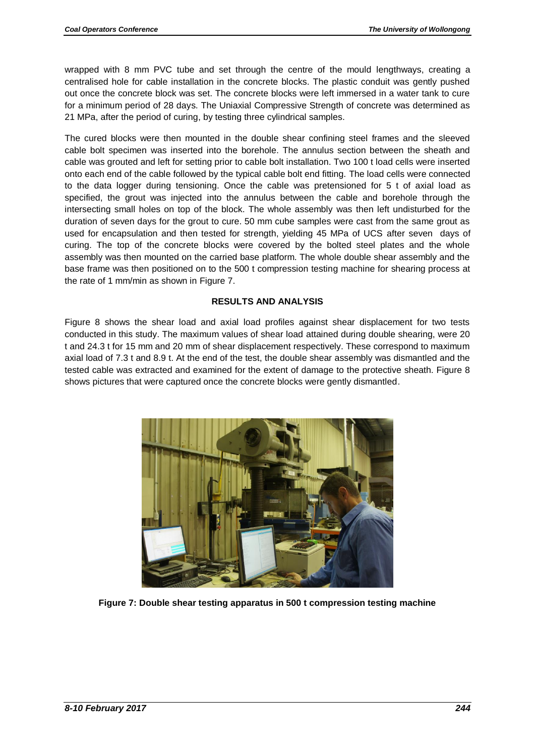wrapped with 8 mm PVC tube and set through the centre of the mould lengthways, creating a centralised hole for cable installation in the concrete blocks. The plastic conduit was gently pushed out once the concrete block was set. The concrete blocks were left immersed in a water tank to cure for a minimum period of 28 days. The Uniaxial Compressive Strength of concrete was determined as 21 MPa, after the period of curing, by testing three cylindrical samples.

The cured blocks were then mounted in the double shear confining steel frames and the sleeved cable bolt specimen was inserted into the borehole. The annulus section between the sheath and cable was grouted and left for setting prior to cable bolt installation. Two 100 t load cells were inserted onto each end of the cable followed by the typical cable bolt end fitting. The load cells were connected to the data logger during tensioning. Once the cable was pretensioned for 5 t of axial load as specified, the grout was injected into the annulus between the cable and borehole through the intersecting small holes on top of the block. The whole assembly was then left undisturbed for the duration of seven days for the grout to cure. 50 mm cube samples were cast from the same grout as used for encapsulation and then tested for strength, yielding 45 MPa of UCS after seven days of curing. The top of the concrete blocks were covered by the bolted steel plates and the whole assembly was then mounted on the carried base platform. The whole double shear assembly and the base frame was then positioned on to the 500 t compression testing machine for shearing process at the rate of 1 mm/min as shown in Figure 7.

#### **RESULTS AND ANALYSIS**

Figure 8 shows the shear load and axial load profiles against shear displacement for two tests conducted in this study. The maximum values of shear load attained during double shearing, were 20 t and 24.3 t for 15 mm and 20 mm of shear displacement respectively. These correspond to maximum axial load of 7.3 t and 8.9 t. At the end of the test, the double shear assembly was dismantled and the tested cable was extracted and examined for the extent of damage to the protective sheath. Figure 8 shows pictures that were captured once the concrete blocks were gently dismantled.



**Figure 7: Double shear testing apparatus in 500 t compression testing machine**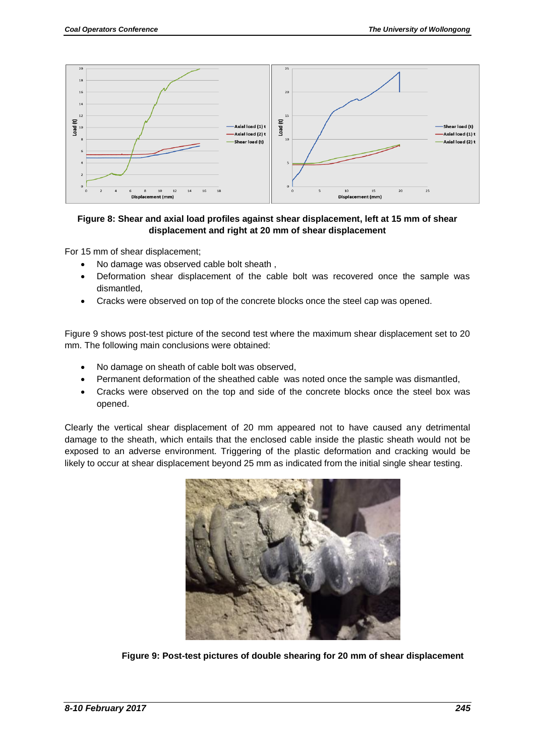

#### **Figure 8: Shear and axial load profiles against shear displacement, left at 15 mm of shear displacement and right at 20 mm of shear displacement**

For 15 mm of shear displacement;

- No damage was observed cable bolt sheath,
- Deformation shear displacement of the cable bolt was recovered once the sample was dismantled,
- Cracks were observed on top of the concrete blocks once the steel cap was opened.

Figure 9 shows post-test picture of the second test where the maximum shear displacement set to 20 mm. The following main conclusions were obtained:

- No damage on sheath of cable bolt was observed,
- Permanent deformation of the sheathed cable was noted once the sample was dismantled,
- Cracks were observed on the top and side of the concrete blocks once the steel box was opened.

Clearly the vertical shear displacement of 20 mm appeared not to have caused any detrimental damage to the sheath, which entails that the enclosed cable inside the plastic sheath would not be exposed to an adverse environment. Triggering of the plastic deformation and cracking would be likely to occur at shear displacement beyond 25 mm as indicated from the initial single shear testing.



**Figure 9: Post-test pictures of double shearing for 20 mm of shear displacement**